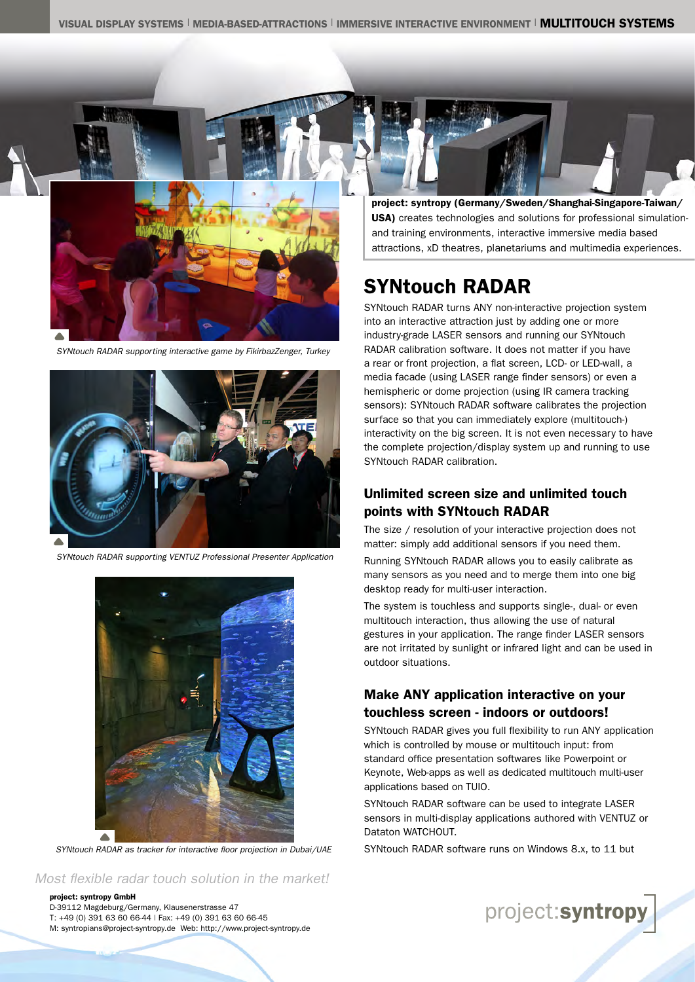

*SYNtouch RADAR supporting interactive game by FikirbazZenger, Turkey*



*SYNtouch RADAR supporting VENTUZ Professional Presenter Application*



*SYNtouch RADAR as tracker for interactive floor projection in Dubai/UAE*

*Most flexible radar touch solution in the market!*

#### project: syntropy GmbH

D-39112 Magdeburg/Germany, Klausenerstrasse 47 T: +49 (0) 391 63 60 66-44 | Fax: +49 (0) 391 63 60 66-45 M: syntropians@project-syntropy.de Web: http://www.project-syntropy.de project: syntropy (Germany/Sweden/Shanghai-Singapore-Taiwan/ USA) creates technologies and solutions for professional simulationand training environments, interactive immersive media based attractions, xD theatres, planetariums and multimedia experiences.

# SYNtouch RADAR

SYNtouch RADAR turns ANY non-interactive projection system into an interactive attraction just by adding one or more industry-grade LASER sensors and running our SYNtouch RADAR calibration software. It does not matter if you have a rear or front projection, a flat screen, LCD- or LED-wall, a media facade (using LASER range finder sensors) or even a hemispheric or dome projection (using IR camera tracking sensors): SYNtouch RADAR software calibrates the projection surface so that you can immediately explore (multitouch-) interactivity on the big screen. It is not even necessary to have the complete projection/display system up and running to use SYNtouch RADAR calibration.

## Unlimited screen size and unlimited touch points with SYNtouch RADAR

The size / resolution of your interactive projection does not matter: simply add additional sensors if you need them.

Running SYNtouch RADAR allows you to easily calibrate as many sensors as you need and to merge them into one big desktop ready for multi-user interaction.

The system is touchless and supports single-, dual- or even multitouch interaction, thus allowing the use of natural gestures in your application. The range finder LASER sensors are not irritated by sunlight or infrared light and can be used in outdoor situations.

# Make ANY application interactive on your touchless screen - indoors or outdoors!

SYNtouch RADAR gives you full flexibility to run ANY application which is controlled by mouse or multitouch input: from standard office presentation softwares like Powerpoint or Keynote, Web-apps as well as dedicated multitouch multi-user applications based on TUIO.

SYNtouch RADAR software can be used to integrate LASER sensors in multi-display applications authored with VENTUZ or Dataton WATCHOUT.

SYNtouch RADAR software runs on Windows 8.x, to 11 but